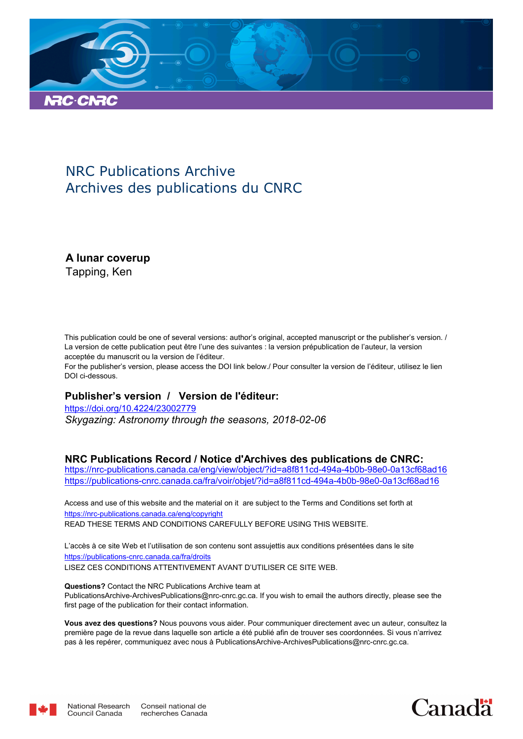

## NRC Publications Archive Archives des publications du CNRC

**A lunar coverup**

Tapping, Ken

This publication could be one of several versions: author's original, accepted manuscript or the publisher's version. / La version de cette publication peut être l'une des suivantes : la version prépublication de l'auteur, la version acceptée du manuscrit ou la version de l'éditeur.

For the publisher's version, please access the DOI link below./ Pour consulter la version de l'éditeur, utilisez le lien DOI ci-dessous.

#### **Publisher's version / Version de l'éditeur:**

*Skygazing: Astronomy through the seasons, 2018-02-06* https://doi.org/10.4224/23002779

#### **NRC Publications Record / Notice d'Archives des publications de CNRC:**

https://nrc-publications.canada.ca/eng/view/object/?id=a8f811cd-494a-4b0b-98e0-0a13cf68ad16 https://publications-cnrc.canada.ca/fra/voir/objet/?id=a8f811cd-494a-4b0b-98e0-0a13cf68ad16

READ THESE TERMS AND CONDITIONS CAREFULLY BEFORE USING THIS WEBSITE. https://nrc-publications.canada.ca/eng/copyright Access and use of this website and the material on it are subject to the Terms and Conditions set forth at

https://publications-cnrc.canada.ca/fra/droits L'accès à ce site Web et l'utilisation de son contenu sont assujettis aux conditions présentées dans le site LISEZ CES CONDITIONS ATTENTIVEMENT AVANT D'UTILISER CE SITE WEB.

**Questions?** Contact the NRC Publications Archive team at PublicationsArchive-ArchivesPublications@nrc-cnrc.gc.ca. If you wish to email the authors directly, please see the first page of the publication for their contact information.

**Vous avez des questions?** Nous pouvons vous aider. Pour communiquer directement avec un auteur, consultez la première page de la revue dans laquelle son article a été publié afin de trouver ses coordonnées. Si vous n'arrivez pas à les repérer, communiquez avec nous à PublicationsArchive-ArchivesPublications@nrc-cnrc.gc.ca.